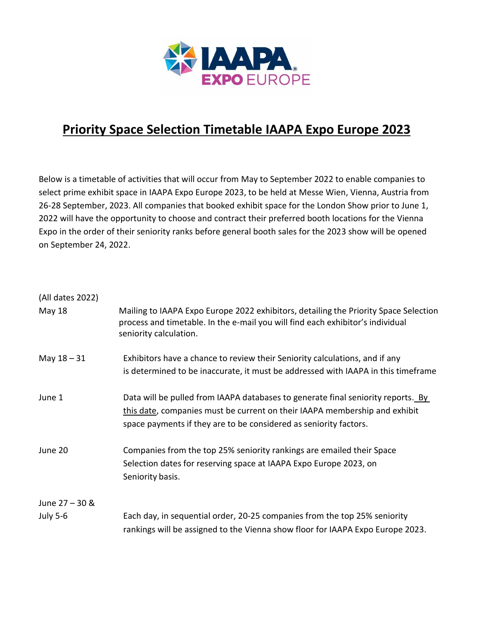

## **Priority Space Selection Timetable IAAPA Expo Europe 2023**

Below is a timetable of activities that will occur from May to September 2022 to enable companies to select prime exhibit space in IAAPA Expo Europe 2023, to be held at Messe Wien, Vienna, Austria from 26-28 September, 2023. All companies that booked exhibit space for the London Show prior to June 1, 2022 will have the opportunity to choose and contract their preferred booth locations for the Vienna Expo in the order of their seniority ranks before general booth sales for the 2023 show will be opened on September 24, 2022.

| (All dates 2022) |                                                                                                                                                                                                                                     |
|------------------|-------------------------------------------------------------------------------------------------------------------------------------------------------------------------------------------------------------------------------------|
| May 18           | Mailing to IAAPA Expo Europe 2022 exhibitors, detailing the Priority Space Selection<br>process and timetable. In the e-mail you will find each exhibitor's individual<br>seniority calculation.                                    |
| May $18 - 31$    | Exhibitors have a chance to review their Seniority calculations, and if any<br>is determined to be inaccurate, it must be addressed with IAAPA in this timeframe                                                                    |
| June 1           | Data will be pulled from IAAPA databases to generate final seniority reports. By<br>this date, companies must be current on their IAAPA membership and exhibit<br>space payments if they are to be considered as seniority factors. |
| June 20          | Companies from the top 25% seniority rankings are emailed their Space<br>Selection dates for reserving space at IAAPA Expo Europe 2023, on<br>Seniority basis.                                                                      |
| June 27 - 30 &   |                                                                                                                                                                                                                                     |
| <b>July 5-6</b>  | Each day, in sequential order, 20-25 companies from the top 25% seniority<br>rankings will be assigned to the Vienna show floor for IAAPA Expo Europe 2023.                                                                         |